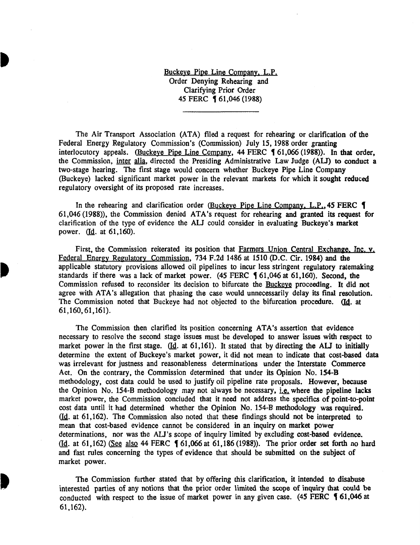Buckeye Pipe Line Company. L.P. Order Denying Rehearing and Clarifying Prior Order 45 FERC **(61,046 (1988)** 

The Air Transport Association (ATA) filed a request for rehearing or clarification of the Federal Energy Regulatory Commission's (Commission) July 15, 1988 order granting interlocutory appeals. (Buckeye Pipe Line Company,  $44$  FERC  $\frac{61,066}{1988}$ ). In that order, the Commission, inter alia, directed the Presiding Administrative Law Judge (AU) to conduct a two-stage hearing. The first stage would concern whether Buckeye Pipe Line Company (Buckeye) lacked significant market power in the relevant markets for which it sought reduced regulatory oversight of its proposed rate increases.

In the rehearing and clarification order (Buckeye Pipe Line Company, L.P., 45 FERC 1) 61,046 (1988)), the Commission denied ATA's request for rehearing and granted its request for clarification of the type of evidence the ALI could consider in evaluating Buckeye's market power. (Id. at 61,160).

First, the Commission reiterated its position that Farmers Union Central Exchange, Inc. v. Federal Energy Regulatory Commission, 734 F.2d 1486 at 1510 (D.C. Cir. 1984) and the applicable statutory provisions allowed oil pipelines to incur less stringent regulatory ratemaking standards if there was a lack of market power. (45 FERC  $\text{\$61,046$ at 61,160}$ ). Second, the Commission refused to reconsider its decision to bifurcate the Buckeye proceeding. It did not agree with ATA's allegation that phasing the case would unnecessarily delay its final resolution. The Commission noted that Buckeye had not objected to the bifurcation procedure. (Id. at 61, 160, 61, 161).

The Commission then clarified its position concerning ATA's assertion that evidence necessary to resolve the second stage issues must be developed to answer issues with respect to market power in the first stage.  $(Id. at 61,161)$ . It stated that by directing the ALJ to initially determine the extent of Buckeye's market power, it did not mean to indicate that cost-based data was irrelevant for justness and reasonableness determinations under the Interstate Commerce Act. On the contrary, the Commission determined that under its Opinion No. 154-B methodology, cost data could be used to justify oil pipeline rate proposals. However, because the Opinion No. 154-B methodology may not always be necessary, i.e. where the pipeline lacks market power, the Commission concluded that it need not address the specifics of point-to-point cost data until it had determined whether the Opinion No. 154-B methodology was required. (Id. at 61,162). The Commission also noted that these findings should not be interpreted to mean that cost-based evidence cannot be considered in an inquiry on market power determinations, nor was the AU's scope of inquiry limited by excluding cost-based evidence. (Id. at 61,162) (See also 44 FERC  $\blacklozenge$  61,066 at 61,186 (1988)). The prior order set forth no hard and fast rules concerning the types of evidence that should be submitted on the subject of market power.

The Commission further stated that by offering this clarification, it intended to disabuse interested parties of any notions that the prior order limited the scope of inquiry that could be conducted with respect to the issue of market power in any given case. (45 FERC § 61,046 at 61,162).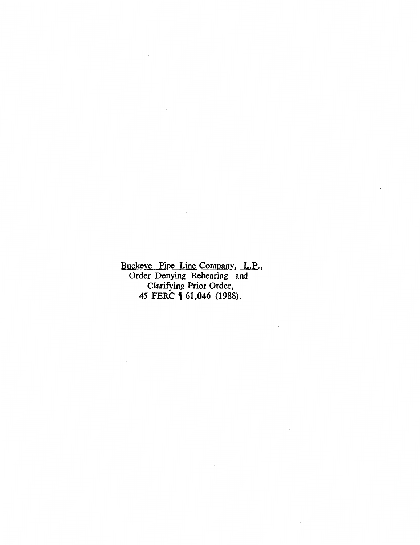Buckeye Pipe Line Company, L.P., Order Denying Rehearing and Clarifying Prior Order, 45 FERC **[** 61,046 (1988).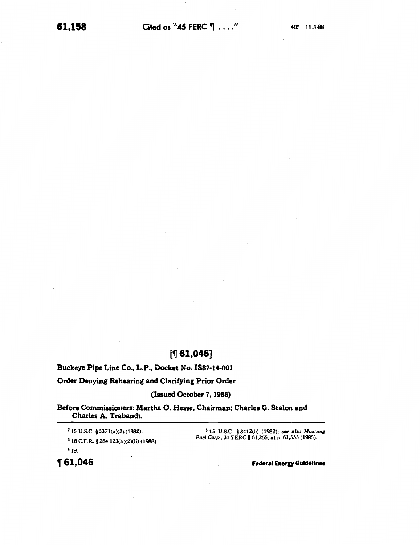# $[$  [ 1 $, 046]$ ]

Buckeye Pipe Line Co., L.P., Docket No. IS87-14-001

Order Denying Rehearing and Clarifying Prior Order

(Issued October 7, 1988)

Before Commissioners: Martha 0. Hesse, Chairman; Charles G. Stalon and Charles A. Trabandt.

2 15 U.S.C. § 3371(a)(2) (1982). 3 18 C.F.R. § 284.123(b)(2)(ii) (1988). *4[d.* 

5 15 U.S.C. §3412(b) (1982); *see also Mustang Fuel Corp., 31 FERC* 161,265, at p. 61,535 (1985).

~61,046

Federal Energy Guidelines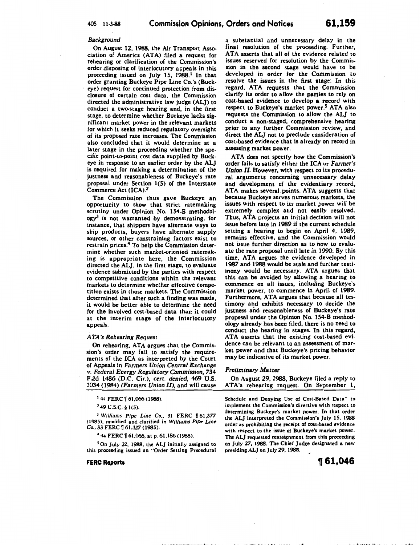## *Background*

On August 12, 1988, the Air Transport Association of America (ATA) filed a request for rehearing or clarification of the Commission's order disposing of interlocutory appeals in this proceeding issued on July 15, 1988.' In that order granting Buckeye Pipe Line Co.'s (Buckeye) request for continued protection from disclosure of certain cost data, the Commission directed the administrative law judge (ALJ) to conduct a two-stage hearing and, in the first stage, to determine whether Buckeye Jacks significant market power in the relevant markets for which it seeks reduced regulatory oversight of its proposed rate increases. The Commission also concluded that it would determine at a later stage in the proceeding whether the specific point-to-point cost data supplied by Buckeye in response to an earlier order by the ALJ is required for making a determination of the justness and reasonableness of Buckeye's rate proposal under Section 1(5) of the Interstate Commerce Act (ICA).2

The Commission thus gave Buckeye an opportunity to show that strict ratemaking scrutiny under Opinion No. 154-B methodol $ogy<sup>3</sup>$  is not warranted by demonstrating, for instance, that shippers have alternate ways to ship products, buyers have alternate supply sources, or other constraining factors exist to restrain prices.4 To help the Commission determine whether such market-oriented ratemaking is appropriate here, the Commission directed the ALJ, in the first stage, to evaluate evidence submitted by the parties with respect to competitive conditions within the relevant markets to determine whether effective competition exists in those markets. The Commission determined that after such a finding was made, it would be better able to determine the need for the involved cost-based data than it could at the interim stage of the interlocutory appeals.

## *ATA's Rehearing Request*

On rehearing, ATA argues that the Commission's order may fail to satisfy the requirements of the ICA as interpreted by the Court of Appeals in *Farmers Union Central Exchange v. Federal Energy Regulatory Commission,* 734 F.2d 1486 (D.C. Cir.), *cert. denied,* 469 U.S. 1034 (1984) *(Farmers Union II),* and will cause

 $144$  FERC  $\frac{61,066}{1988}$ .

 $2$  49 U.S.C. § 1(5).

<sup>3</sup> Williams Pipe Line Co., 31 FERC 161,377 (1985), modified and clarified in *Williams Pipe Line Co., 33 FERC* 161,327 (1985).

<sup>4</sup> 44 FERC | 61,066, at p. 61,186 (1988).

<sup>5</sup> On July 22, 1988, the ALJ initially assigned to this proceeding issued an "Order Setting Procedural

#### FERC Reports

a substantial and unnecessary delay in the final resolution of the proceeding. Further, ATA asserts that all of the evidence related to issues reserved for resolution by the Commission in the second stage would have to be developed in order for the Commission to resolve the issues in the first stage. In this regard, ATA requests that the Commission clarify its order to allow the parties to rely on cost-based evidence to develop a record with respect to Buckeye's market power.<sup>5</sup> ATA also requests the Commission to allow the ALJ to conduct a non-staged, comprehensive hearing prior to any further Commission review, and direct the ALJ not to preclude consideration of cost-based evidence that is already on record in assessing market power.

ATA does not specify how the Commission's order fails to satisfy either the ICA or *Farmer's Union. II.* However, with respect to its procedural arguments concerning unnecessary delay and development of the evidentiary record, ATA makes several. points. ATA suggests that because Buckeye serves numerous markets, the issues with respect to its market power will be extremely complex and not easily resolved. Thus, ATA projects an initial decision will not issue before late in 1989 if the current schedule setting a hearing to begin on April 4, 1989, remains effective, and the Commission would not issue further direction as to how to evaluate the rate proposal until late in 1990. By this time, ATA argues the evidence developed in 1987 and 1988 would be stale and further testimony would be necessary. ATA argues that this can be avoided by allowing a hearing to commence on all issues, including Buckeye's market power, to commence in April of 1989. Furthermore, ATA argues that because all testimony and exhibits necessary to decide the justness and reasonableness of Buckeye's rate proposal under the Opinion No. 154-B methodology already has been filed, there is no need to conduct the hearing in stages. In this regard, ATA asserts that the existing cost-based evidence can be relevant to an assessment of market power and that Buckeye's pricing behavior may be indicative of its market power.

#### *Preliminary Matter*

On August 29, 1988, Buckeye filed a reply to ATA's rehearing request. On September 1,

Schedule and Denying Use of Cost-Based Data" to implement the Commission's directive with respect to determining Buckeye's market power. In that order the ALJ interpreted the Commission's July 15, 1988 order as prohibiting the receipt of cost-based evidence with respect to the issue of Buckeye's market power. The ALJ requested reassignment from this proceeding on July 27, 1988. The Chief Judge designated a new presiding ALJ on July 29, 1988.

 $\cdot$  r

<sup>~</sup>**61,046**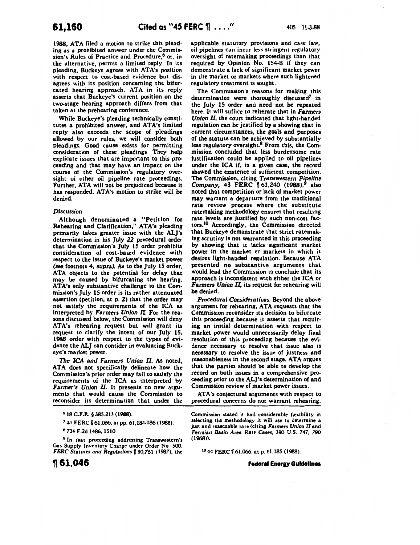1988, ATA filed a motion to strike this pleading as a prohibited answer under the Commis· sion's Rules of Practice and Procedure,<sup>6</sup> or, in the alternative, permit a limited reply. In its pleading, Buckeye agrees with ATA's position with respect to cost-based evidence but disagrees with its position concerning the bifurcated hearing approach. ATA in its reply asserts that Buckeye's current position on the two-stage hearing approach differs from that taken at the prehearing conference.

While Buckeye's pleading technically consti· tutes a prohibited answer, and ATA's limited reply also exceeds the scope of pleadings allowed by our rules, we will consider both pleadings. Good cause exists for permitting consideration of these pleadings They help explicate issues that are important to this proceeding and that may have an impact on the course of the Commission's regulatory over· sight of other oil pipeline rate proceedings. Further, ATA will not be prejudiced because it has responded. ATA's motion to strike will be denied.

# *Discussion*

Although denominated a "Petition for Rehearing and Clarification," ATA's pleading primarily takes greater issue with the ALJ's determination in his July 22 procedural order that the Commission's July 15 order prohibits consideration of cost-based evidence with respect to the issue of Buckeye's market power *(see.* footnote 4, *supra). As* to the July 15 order, ATA objects to the potential for delay that may be caused by bifurcating the hearing. ATA's only substantive challenge to the Commission's July 15 order is its rather attenuated assertion (petition, at p. 2) that the order may not satisfy the requirements of the ICA as interpreted by Farmers *Union II.* For the reasons discussed below, the Commission will deny ATA's rehearing request but will grant its request to clarify the intent of our July IS, 1988 order with respect to the types of evidence the *ALl* can consider in evaluating Buckeye's market power.

*The ICA* and *Farmers Union II.* As noted, ATA does not specifically delineate how the Commission's prior order may fail to satisfy the requirements of the ICA as interpreted by *Farmer's Union II.* It presents no new arguments that would cause the Commission to reconsider its determination ·that under the

<sup>9</sup> In that proceeding addressing Transwestern's Gas Supply Inventory Charge under Order No. 500, *FERC Statutes and Regulations* [30,761 (1987), the

1J 61,046

applicable statutory provisions and case law, oil pipelines can incur less stringent regulatory oversight of ratemaking proceedings than that required by Opinion No. 154-B if they can demonstrate a lack of significant market power in the market or markets where such lightened regulatory treatment is sought.

The Commission's reasons for making this determination were thoroughly discussed<sup>7</sup> in the July 15 order and need not be repeated here. It will suffice to reiterate that in *Farmers Union II,* the court indicated that light-handed regulation can be justified by a showing that in current circumstances, the goals and purposes of the statute can be achieved by substantially less regulatory oversight.8 From this, the Com· mission concluded that less burdensome rate justification could be applied to oil pipelines under the ICA if, in a given case, the record showed the existence of sufficient competition. The Commission, citing *Transwestern Pipeline*<br>Company, 43 FERC 161.240 (1988).<sup>9</sup> also *Company*, 43 FERC 161,240 (1988),<sup>9</sup> noted that competition or lack of market power may warrant a departure from the traditional rate review process where the substitute ratemaking methodology ensures that resulting rate levels are justified by such non-cost factors.IO Accordingly, the Commission directed that Buckeye demonstrate that strict ratemaking scrutiny is not warranted in this proceeding by showing that it lacks significant market power in the market or markets in which it desires light-handed regulation. Because ATA presented no substantive arguments that would lead the Commission to conclude that its approach is inconsistent with either the ICA or Farmers *Union II,* its request for rehearing wiJI be denied.

*Procedural Considerations.* Beyond the above argument for rehearing, ATA requests that the Commission reconsider its decision to bifurcate this proceeding because it asserts that requir· ing an initial determination with respect to market power would unnecessarily delay final resolution of this proceeding because the evi· dence necessary to resolve that issue also is necessary to resolve the issue of justness and reasonableness in the second stage. ATA argues that the parties should be able to develop the record on both issues in a comprehensive proceeding prior to the ALI's determination of and Commission review of market power issues.

ATA's conjectural arguments with respect to procedural concerns do not warrant rehearing.

Commission stated it had considerable flexibility in selecting the methodology it will use to determine a just and reasonable rate (citing *Farmers Union II* and Permian *Basin Area Rate Cases,* 390 U.S. 747, 790  $(1968)$ ).

<sup>10</sup> 44 FERC f 61,066, at p. 61,185 (1988).

**Federal Energy Guidelines** 

<sup>6</sup>18 C.F.R. § 385.213 (1988).

<sup>&</sup>lt;sup>7</sup> 44 FERC 161,066, at pp. 61,184-186 (1988).

a 734 F.2d 1486, 1510.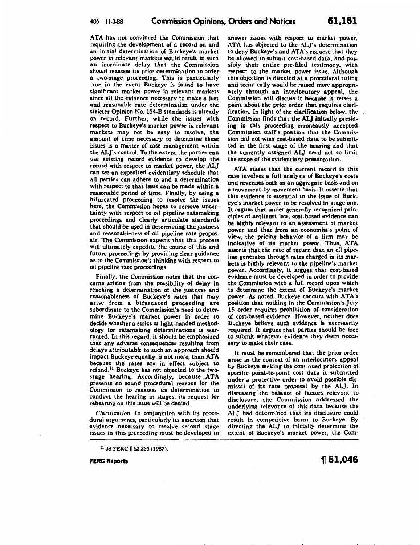ATA has not convinced the Commission that requiring the development of a record on and an initial determination of Buckeye's market power in relevant markets would result in such an inordinate delay that the Commission should reassess its prior determination to order a two-stage proceeding. This is particularly true in the event Buckeye is found to have significant market power in relevant markets since all the evidence necessary to make a just and reasonable rate determination under the stricter Opinion No. 154-B standards is already on record. Further, while the issues with respect to Buckeye's market power in relevant markets may not be easy to resolve, the amount of time necessary to determine these issues is a matter of case management within the ALJ's control. To the extent the parties can use existing record evidence to develop the record with respect to market power, the ALJ can set an expedited evidentiary schedule that all parties can adhere to and a determination with respect to that issue can be made within a reasonable period of time. Finally, by using a bifurcated proceeding to resolve the issues here, the Commission hopes to remove uncertainty with respect to oil pipeline ratemaking proceedings and clearly articulate standards that should be used in determining the justness and reasonableness of oil pipeline rate proposals. The Commission expects that this process will ultimately expedite the course of this and future proceedings by providing clear guidance as to the Commission's thinking with respect to oil pipeline rate proceedings.

Finally, the Commission notes that the concerns arising from the possibility of delay in reaching a determination of the justness and reasonableness of Buckeye's rates that may arise from a bifurcated proceeding are subordinate to the Commission's need to determine Buckeye's market power in order to decide whether a strict or light-handed methodology for ratemaking determinations is warranted. In this regard, it should be emphasized that any adverse consequences resulting from delays attributable to such an approach should impact Buckeye equally, if not more, than ATA because the rates are in effect subject to refund.<sup>11</sup> Buckeye has not objected to the twostage hearing. Accordingly, because ATA presents no sound procedural reasons for the Commission to reassess its determination to conduct the hearing in stages, its request for rehearing on this issue will be denied.

*Clarification.* In conjunction with its procedural arguments, particularly its assertion that evidence necessary to resolve second stage issues in this proceeding must be developed to

 $^{11}$  38 FERC  $\llbracket$  62,256 (1987).

FERC Reports

answer issues with respect to market power, ATA has objected to the AL]'s determination to deny Buckeye's and ATA's request that they be allowed to submit cost-based data, and possibly their entire pre-filed testimony. with respect to the market power issue. Although this objection is directed at a procedural ruling and technically would be raised more appropriately through an interlocutory appeal, the Commission will discuss it because it raises a point about the prior order that requires clarification. In light of the clarification below, the Commission finds that the AL] initially presiding in this proceeding erroneously accepted Commission stafrs position that the Commission did not wish cost-based data to be submitted in the first stage of the hearing and that the currently assigned ALJ need not so limit the scope of the evidentiary presentation.

ATA states that the current record in this case involves a full analysis of Buckeye's costs and revenues both on an aggregate basis and on a movement-by-movement basis. It asserts that this evidence is essential to the issue of Buckeye's market power to be resolved in stage one. It argues that under generally recognized principles of antitrust law, cost-based evidence can be highly relevant to an assessment of market power and that from an economist's point of view, the pricing behavior of a firm may be indicative of its market power. Thus, ATA asserts that the rate of return that an oil pipeline generates through rates charged in its markets is highly relevant to the pipeline's market power. Accordingly, it argues that cost-based evidence must be developed in order to provide the Commission with a full record upon which to determine the extent of Buckeye's market power. As noted, Buckeye concurs with ATA's position that nothing in the Commission's July 15 order requires prohibition of consideration of cost-based evidence. However, neither does Buckeye believe such evidence is necessarily required. It argues that parties should be free to submit whatever evidence they deem necessary to make their case.

It must be remembered that the prior order arose in the context of an interlocutory appeal by Buckeye seeking the continued protection of specific point-to-point cost data it submitted under a protective order to avoid possible dismissal of its rate proposal by the ALJ. In discussing the balance of factors relevant to disclosure, the Commission addressed the underlying relevance of this data because the ALJ had determined that its disclosure could result in competitive harm to Buckeye. By directing the ALJ to initially determine the extent of Buckeye's market power, the Com-

<sup>~</sup>61,046

·• j. I, .. ,.' •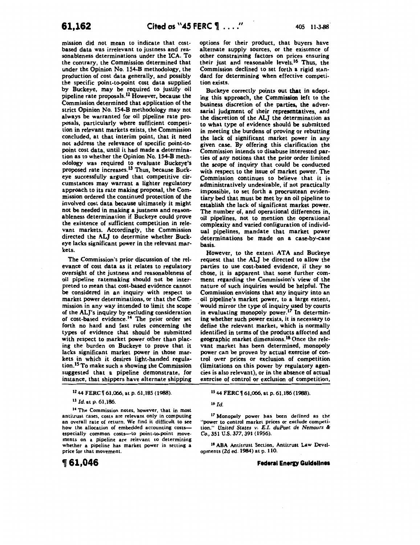mission did not mean to indicate that costbased data was irrelevant to justness and reasonableness determinations under the ICA. To the contrary, the Commission determined that under the Opinion No. 154-B methodology, the production of cost data generally, and possibly the specific point-to-point cost data supplied by Buckeye, may be required to justify oil pipeline rate proposals.12 However, because the Commission determined that application of the strict Opinion No. 154-B methodology may not always be warranted for oil pipeline rate proposals, particularly where sufficient competition in relevant markets exists, the Commission concluded, at that interim point, that it need not address the relevance of specific point-topoint cost data, until it had made a determination as to whether the Opinion No. 154-B methodology was required to evaluate Buckeye's proposed rate increases.l3 Thus, because Buckeye successfully argued that competitive circumstances may warrant a lighter regulatory approach to its rate making proposal, the Commission ordered the continued protection of the involved cost data because ultimately it might not be needed in making a justness and reasonableness determination if Buckeye could prove the existence of sufficient competition in relevant markets. Accordingly, the Commission directed the ALJ to determine whether Buckeye lacks significant power in the relevant markets.

The Commission's prior discussion of the relevance of cost data as it relates to regulatory oversight of the justness and reasonableness of oil pipeline ratemaking should not be interpreted to mean that cost-based evidence cannot be considered in an inquiry with respect to market power determinations, or that the Commission in any way intended to limit the scope of the ALJ's inquiry by excluding consideration of cost-based evidence.<sup>14</sup> The prior order set forth no hard and fast rules concerning the types of evidence that should be submitted with respect to market power other than placing the burden on Buckeye to prove that it lacks significant market power in those markets in which it desires light-handed regulation.l5 To make such a showing the Commission suggested that a pipeline demonstrate, for instance, that shippers have alternate shipping

ll *Id.* at p. 61,186.

14 The Commission notes, however, that in most antitrust cases, costs are relevant only in computing an overall rate of return. We find it difficult to see how the allocation of embedded accounting costsespecially common costs-to point-to-point movements on a pipeline are relevant to determining whether a pipeline has market power in setting a price for that movement.

12 44 FERC 161,066, at p. 61,185 (1988).

options for their product, that buyers have alternate supply sources, or the existence of other constraining factors on prices ensuring their just and reasonable levels.'6 Thus, the Commission declined to set forth a rigid standard for determining when effective competition exists.

Buckeye correctly points out that in adopting this approach, the Commission left to the business discretion of the parties, the adversarial judgment of their representatives, and the discretion of the ALJ the determination as to what type of evidence should be submitted in meeting the burdens of proving or rebutting the lack of significant market power in any given case. By offering this clarification the Commission intends to disabuse interested parties of any notions that the prior order limited the scope of inquiry that could be conducted with respect to the issue of market power. The Commission continues to believe that it is administratively undesirable, if not practically impossible, to set forth a procrustean evidentiary bed that must be met by an oil pipeline to establish the lack of significant market power. The number of, and operational differences in, oil pipelines, not to mention the operational complexity and varied configuration of individual pipelines, mandate that market power determinations be made on a case-by-case basis.

However, to the extent ATA and Buckeye request that the ALJ be directed to allow the parties to use cost-based evidence, if they so chose, it is apparent that some further comment regarding the Commission's view of the nature of such inquiries would be helpful. The Commission envisions that any inquiry into an oil pipeline's market power, to a large extent, would mirror the type of inquiry used by courts in evaluating monopoly power.<sup>17</sup> In determining whether such power exists, it is necessary to define the relevant market, which is normally identified in terms of the products affected and geographic market dimensions.18 Once the relevant market has been determined, monopoly power can be proven by actual exercise of control over prices or exclusion of competition (limitations on this power by regulatory agencies is also relevant), or in the absence of actual exercise of control or exclusion of competition,

16 *Id.* 

17 Monopoly power has been defined as the "power to control market prices or exclude competition." *United* States *v. E. I. duPont de Nemours* & *Co.,* 351 U.S. 377,391 (1956).

15 44 FERC 161,066, at p. 61,186 (1988).

18 ABA Antitrust Section, Antitrust Law Developments (Zd ed. 1984) at p. 110.

**Federal Energy Guidelines** 

<sup>~</sup>**61,046**